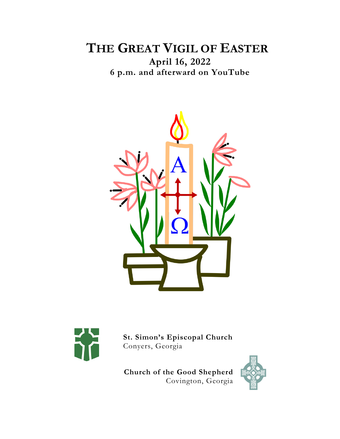# **THE GREAT VIGIL OF EASTER April 16, 2022 6 p.m. and afterward on YouTube**





**St. Simon's Episcopal Church** Conyers, Georgia

 **Church of the Good Shepherd** Covington, Georgia

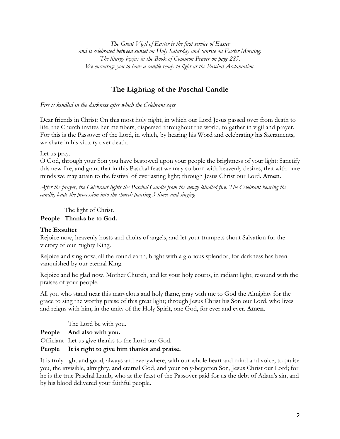*The Great Vigil of Easter is the first service of Easter and is celebrated between sunset on Holy Saturday and sunrise on Easter Morning. The liturgy begins in the Book of Common Prayer on page 285. We encourage you to have a candle ready to light at the Paschal Acclamation.*

# **The Lighting of the Paschal Candle**

*Fire is kindled in the darkness after which the Celebrant says*

Dear friends in Christ: On this most holy night, in which our Lord Jesus passed over from death to life, the Church invites her members, dispersed throughout the world, to gather in vigil and prayer. For this is the Passover of the Lord, in which, by hearing his Word and celebrating his Sacraments, we share in his victory over death.

Let us pray.

O God, through your Son you have bestowed upon your people the brightness of your light: Sanctify this new fire, and grant that in this Paschal feast we may so burn with heavenly desires, that with pure minds we may attain to the festival of everlasting light; through Jesus Christ our Lord. **Amen***.*

*After the prayer, the Celebrant lights the Paschal Candle from the newly kindled fire. The Celebrant bearing the candle, leads the procession into the church pausing 3 times and singing*

The light of Christ.

**People Thanks be to God.**

#### **The Exsultet**

Rejoice now, heavenly hosts and choirs of angels, and let your trumpets shout Salvation for the victory of our mighty King.

Rejoice and sing now, all the round earth, bright with a glorious splendor, for darkness has been vanquished by our eternal King.

Rejoice and be glad now, Mother Church, and let your holy courts, in radiant light, resound with the praises of your people.

All you who stand near this marvelous and holy flame, pray with me to God the Almighty for the grace to sing the worthy praise of this great light; through Jesus Christ his Son our Lord, who lives and reigns with him, in the unity of the Holy Spirit, one God, for ever and ever. **Amen***.*

The Lord be with you.

**People And also with you.**

Officiant Let us give thanks to the Lord our God.

#### **People It is right to give him thanks and praise.**

It is truly right and good, always and everywhere, with our whole heart and mind and voice, to praise you, the invisible, almighty, and eternal God, and your only-begotten Son, Jesus Christ our Lord; for he is the true Paschal Lamb, who at the feast of the Passover paid for us the debt of Adam's sin, and by his blood delivered your faithful people.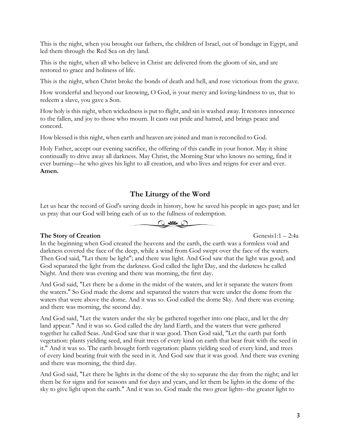This is the night, when you brought our fathers, the children of Israel, out of bondage in Egypt, and led them through the Red Sea on dry land.

This is the night, when all who believe in Christ are delivered from the gloom of sin, and are restored to grace and holiness of life.

This is the night, when Christ broke the bonds of death and hell, and rose victorious from the grave.

How wonderful and beyond our knowing, O God, is your mercy and loving-kindness to us, that to redeem a slave, you gave a Son.

How holy is this night, when wickedness is put to flight, and sin is washed away. It restores innocence to the fallen, and joy to those who mourn. It casts out pride and hatred, and brings peace and concord.

How blessed is this night, when earth and heaven are joined and man is reconciled to God.

Holy Father, accept our evening sacrifice, the offering of this candle in your honor. May it shine continually to drive away all darkness. May Christ, the Morning Star who knows no setting, find it ever burning—he who gives his light to all creation, and who lives and reigns for ever and ever. **Amen.**

# **The Liturgy of the Word**

Let us hear the record of God's saving deeds in history, how he saved his people in ages past; and let us pray that our God will bring each of us to the fullness of redemption.



#### **The Story of Creation** Genesis1:1 – 2:4a

In the beginning when God created the heavens and the earth, the earth was a formless void and darkness covered the face of the deep, while a wind from God swept over the face of the waters. Then God said, "Let there be light"; and there was light. And God saw that the light was good; and God separated the light from the darkness. God called the light Day, and the darkness he called Night. And there was evening and there was morning, the first day.

And God said, "Let there be a dome in the midst of the waters, and let it separate the waters from the waters." So God made the dome and separated the waters that were under the dome from the waters that were above the dome. And it was so. God called the dome Sky. And there was evening and there was morning, the second day.

And God said, "Let the waters under the sky be gathered together into one place, and let the dry land appear." And it was so. God called the dry land Earth, and the waters that were gathered together he called Seas. And God saw that it was good. Then God said, "Let the earth put forth vegetation: plants yielding seed, and fruit trees of every kind on earth that bear fruit with the seed in it." And it was so. The earth brought forth vegetation: plants yielding seed of every kind, and trees of every kind bearing fruit with the seed in it. And God saw that it was good. And there was evening and there was morning, the third day.

And God said, "Let there be lights in the dome of the sky to separate the day from the night; and let them be for signs and for seasons and for days and years, and let them be lights in the dome of the sky to give light upon the earth." And it was so. God made the two great lights--the greater light to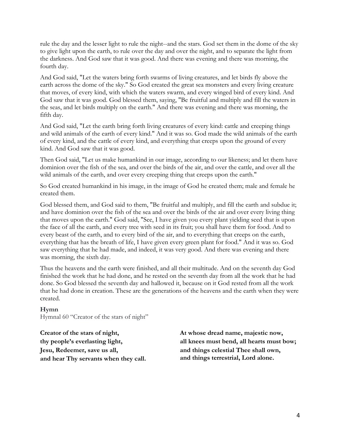rule the day and the lesser light to rule the night--and the stars. God set them in the dome of the sky to give light upon the earth, to rule over the day and over the night, and to separate the light from the darkness. And God saw that it was good. And there was evening and there was morning, the fourth day.

And God said, "Let the waters bring forth swarms of living creatures, and let birds fly above the earth across the dome of the sky." So God created the great sea monsters and every living creature that moves, of every kind, with which the waters swarm, and every winged bird of every kind. And God saw that it was good. God blessed them, saying, "Be fruitful and multiply and fill the waters in the seas, and let birds multiply on the earth." And there was evening and there was morning, the fifth day.

And God said, "Let the earth bring forth living creatures of every kind: cattle and creeping things and wild animals of the earth of every kind." And it was so. God made the wild animals of the earth of every kind, and the cattle of every kind, and everything that creeps upon the ground of every kind. And God saw that it was good.

Then God said, "Let us make humankind in our image, according to our likeness; and let them have dominion over the fish of the sea, and over the birds of the air, and over the cattle, and over all the wild animals of the earth, and over every creeping thing that creeps upon the earth."

So God created humankind in his image, in the image of God he created them; male and female he created them.

God blessed them, and God said to them, "Be fruitful and multiply, and fill the earth and subdue it; and have dominion over the fish of the sea and over the birds of the air and over every living thing that moves upon the earth." God said, "See, I have given you every plant yielding seed that is upon the face of all the earth, and every tree with seed in its fruit; you shall have them for food. And to every beast of the earth, and to every bird of the air, and to everything that creeps on the earth, everything that has the breath of life, I have given every green plant for food." And it was so. God saw everything that he had made, and indeed, it was very good. And there was evening and there was morning, the sixth day.

Thus the heavens and the earth were finished, and all their multitude. And on the seventh day God finished the work that he had done, and he rested on the seventh day from all the work that he had done. So God blessed the seventh day and hallowed it, because on it God rested from all the work that he had done in creation. These are the generations of the heavens and the earth when they were created.

#### **Hymn**

Hymnal 60 "Creator of the stars of night"

**Creator of the stars of night, thy people's everlasting light, Jesu, Redeemer, save us all, and hear Thy servants when they call.** **At whose dread name, majestic now, all knees must bend, all hearts must bow; and things celestial Thee shall own, and things terrestrial, Lord alone.**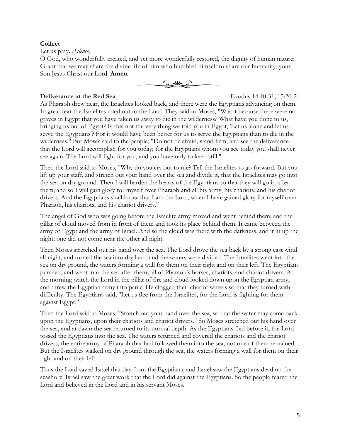#### **Collect**

Let us pray. *(Silence)*

O God, who wonderfully created, and yet more wonderfully restored, the dignity of human nature: Grant that we may share the divine life of him who humbled himself to share our humanity, your Son Jesus Christ our Lord. **Amen***.*



### **Deliverance at the Red Sea Exodus 14:10-31; 15:20-21 Exodus 14:10-31**; 15:20-21

As Pharaoh drew near, the Israelites looked back, and there were the Egyptians advancing on them. In great fear the Israelites cried out to the Lord. They said to Moses, "Was it because there were no graves in Egypt that you have taken us away to die in the wilderness? What have you done to us, bringing us out of Egypt? Is this not the very thing we told you in Egypt, 'Let us alone and let us serve the Egyptians'? For it would have been better for us to serve the Egyptians than to die in the wilderness." But Moses said to the people, "Do not be afraid, stand firm, and see the deliverance that the Lord will accomplish for you today; for the Egyptians whom you see today you shall never see again. The Lord will fight for you, and you have only to keep still."

Then the Lord said to Moses, "Why do you cry out to me? Tell the Israelites to go forward. But you lift up your staff, and stretch out your hand over the sea and divide it, that the Israelites may go into the sea on dry ground. Then I will harden the hearts of the Egyptians so that they will go in after them; and so I will gain glory for myself over Pharaoh and all his army, his chariots, and his chariot drivers. And the Egyptians shall know that I am the Lord, when I have gained glory for myself over Pharaoh, his chariots, and his chariot drivers."

The angel of God who was going before the Israelite army moved and went behind them; and the pillar of cloud moved from in front of them and took its place behind them. It came between the army of Egypt and the army of Israel. And so the cloud was there with the darkness, and it lit up the night; one did not come near the other all night.

Then Moses stretched out his hand over the sea. The Lord drove the sea back by a strong east wind all night, and turned the sea into dry land; and the waters were divided. The Israelites went into the sea on dry ground, the waters forming a wall for them on their right and on their left. The Egyptians pursued, and went into the sea after them, all of Pharaoh's horses, chariots, and chariot drivers. At the morning watch the Lord in the pillar of fire and cloud looked down upon the Egyptian army, and threw the Egyptian army into panic. He clogged their chariot wheels so that they turned with difficulty. The Egyptians said, "Let us flee from the Israelites, for the Lord is fighting for them against Egypt."

Then the Lord said to Moses, "Stretch out your hand over the sea, so that the water may come back upon the Egyptians, upon their chariots and chariot drivers." So Moses stretched out his hand over the sea, and at dawn the sea returned to its normal depth. As the Egyptians fled before it, the Lord tossed the Egyptians into the sea. The waters returned and covered the chariots and the chariot drivers, the entire army of Pharaoh that had followed them into the sea; not one of them remained. But the Israelites walked on dry ground through the sea, the waters forming a wall for them on their right and on their left.

Thus the Lord saved Israel that day from the Egyptians; and Israel saw the Egyptians dead on the seashore. Israel saw the great work that the Lord did against the Egyptians. So the people feared the Lord and believed in the Lord and in his servant Moses.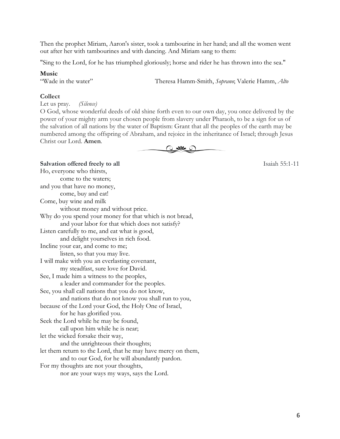Then the prophet Miriam, Aaron's sister, took a tambourine in her hand; and all the women went out after her with tambourines and with dancing. And Miriam sang to them:

"Sing to the Lord, for he has triumphed gloriously; horse and rider he has thrown into the sea."

#### **Music**

"Wade in the water" Theresa Hamm-Smith, *Soprano*; Valerie Hamm, *Alto*

#### **Collect**

Let us pray. *(Silence)*

O God, whose wonderful deeds of old shine forth even to our own day, you once delivered by the power of your mighty arm your chosen people from slavery under Pharaoh, to be a sign for us of the salvation of all nations by the water of Baptism: Grant that all the peoples of the earth may be numbered among the offspring of Abraham, and rejoice in the inheritance of Israel; through Jesus Christ our Lord. **Amen***.*



### **Salvation offered freely to all Isaiah 55:1-11** Ho, everyone who thirsts, come to the waters; and you that have no money, come, buy and eat! Come, buy wine and milk without money and without price. Why do you spend your money for that which is not bread, and your labor for that which does not satisfy? Listen carefully to me, and eat what is good, and delight yourselves in rich food. Incline your ear, and come to me; listen, so that you may live. I will make with you an everlasting covenant, my steadfast, sure love for David. See, I made him a witness to the peoples, a leader and commander for the peoples. See, you shall call nations that you do not know, and nations that do not know you shall run to you, because of the Lord your God, the Holy One of Israel, for he has glorified you. Seek the Lord while he may be found, call upon him while he is near; let the wicked forsake their way, and the unrighteous their thoughts; let them return to the Lord, that he may have mercy on them, and to our God, for he will abundantly pardon. For my thoughts are not your thoughts, nor are your ways my ways, says the Lord.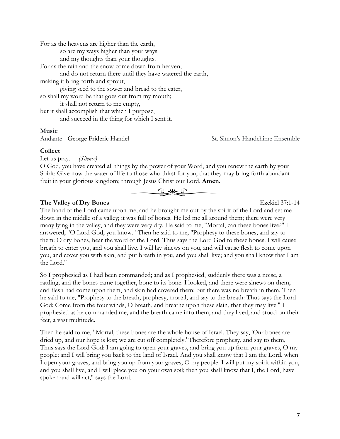For as the heavens are higher than the earth, so are my ways higher than your ways and my thoughts than your thoughts. For as the rain and the snow come down from heaven, and do not return there until they have watered the earth, making it bring forth and sprout, giving seed to the sower and bread to the eater, so shall my word be that goes out from my mouth; it shall not return to me empty, but it shall accomplish that which I purpose, and succeed in the thing for which I sent it.

#### **Music**

Andante - George Frideric Handel St. Simon's Handchime Ensemble

#### **Collect**

Let us pray. *(Silence)*

O God, you have created all things by the power of your Word, and you renew the earth by your Spirit: Give now the water of life to those who thirst for you, that they may bring forth abundant fruit in your glorious kingdom; through Jesus Christ our Lord. **Amen***.*



#### **The Valley of Dry Bones** Ezekiel 37:1-14

The hand of the Lord came upon me, and he brought me out by the spirit of the Lord and set me down in the middle of a valley; it was full of bones. He led me all around them; there were very many lying in the valley, and they were very dry. He said to me, "Mortal, can these bones live?" I answered, "O Lord God, you know." Then he said to me, "Prophesy to these bones, and say to them: O dry bones, hear the word of the Lord. Thus says the Lord God to these bones: I will cause breath to enter you, and you shall live. I will lay sinews on you, and will cause flesh to come upon you, and cover you with skin, and put breath in you, and you shall live; and you shall know that I am the Lord."

So I prophesied as I had been commanded; and as I prophesied, suddenly there was a noise, a rattling, and the bones came together, bone to its bone. I looked, and there were sinews on them, and flesh had come upon them, and skin had covered them; but there was no breath in them. Then he said to me, "Prophesy to the breath, prophesy, mortal, and say to the breath: Thus says the Lord God: Come from the four winds, O breath, and breathe upon these slain, that they may live." I prophesied as he commanded me, and the breath came into them, and they lived, and stood on their feet, a vast multitude.

Then he said to me, "Mortal, these bones are the whole house of Israel. They say, 'Our bones are dried up, and our hope is lost; we are cut off completely.' Therefore prophesy, and say to them, Thus says the Lord God: I am going to open your graves, and bring you up from your graves, O my people; and I will bring you back to the land of Israel. And you shall know that I am the Lord, when I open your graves, and bring you up from your graves, O my people. I will put my spirit within you, and you shall live, and I will place you on your own soil; then you shall know that I, the Lord, have spoken and will act," says the Lord.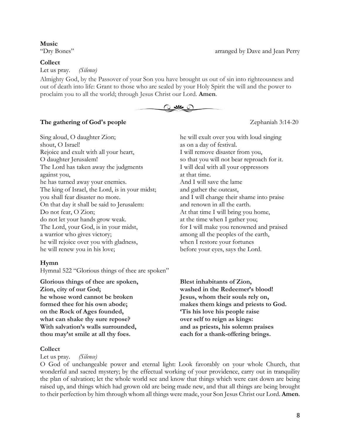#### **Music**

#### **Collect**

Let us pray. *(Silence)*

Almighty God, by the Passover of your Son you have brought us out of sin into righteousness and out of death into life: Grant to those who are sealed by your Holy Spirit the will and the power to proclaim you to all the world; through Jesus Christ our Lord. **Amen**.



# **The gathering of God's people**  $\qquad \qquad$  Zephaniah 3:14-20

Sing aloud, O daughter Zion; shout, O Israel! Rejoice and exult with all your heart, O daughter Jerusalem! The Lord has taken away the judgments against you, he has turned away your enemies. The king of Israel, the Lord, is in your midst; you shall fear disaster no more. On that day it shall be said to Jerusalem: Do not fear, O Zion; do not let your hands grow weak. The Lord, your God, is in your midst, a warrior who gives victory; he will rejoice over you with gladness, he will renew you in his love;

#### **Hymn**

Hymnal 522 "Glorious things of thee are spoken"

**Glorious things of thee are spoken, Zion, city of our God; he whose word cannot be broken formed thee for his own abode; on the Rock of Ages founded, what can shake thy sure repose? With salvation's walls surrounded, thou may'st smile at all thy foes.**

#### **Collect**

#### Let us pray. *(Silence)*

O God of unchangeable power and eternal light: Look favorably on your whole Church, that wonderful and sacred mystery; by the effectual working of your providence, carry out in tranquility the plan of salvation; let the whole world see and know that things which were cast down are being raised up, and things which had grown old are being made new, and that all things are being brought to their perfection by him through whom all things were made, your Son Jesus Christ our Lord. **Amen**.

8

**Blest inhabitants of Zion, washed in the Redeemer's blood! Jesus, whom their souls rely on, makes them kings and priests to God. 'Tis his love his people raise over self to reign as kings: and as priests, his solemn praises each for a thank-offering brings.**

he will exult over you with loud singing

so that you will not bear reproach for it. I will deal with all your oppressors

and I will change their shame into praise

for I will make you renowned and praised

At that time I will bring you home, at the time when I gather you;

among all the peoples of the earth, when I restore your fortunes before your eyes, says the Lord.

I will remove disaster from you,

as on a day of festival.

And I will save the lame and gather the outcast,

and renown in all the earth.

at that time.

"Dry Bones" arranged by Dave and Jean Perry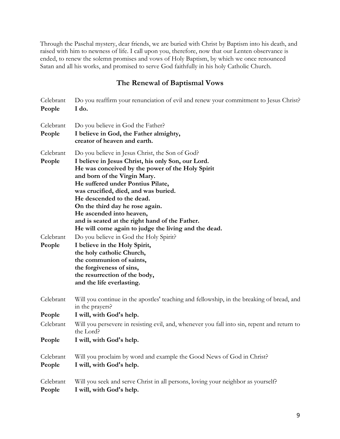Through the Paschal mystery, dear friends, we are buried with Christ by Baptism into his death, and raised with him to newness of life. I call upon you, therefore, now that our Lenten observance is ended, to renew the solemn promises and vows of Holy Baptism, by which we once renounced Satan and all his works, and promised to serve God faithfully in his holy Catholic Church.

# **The Renewal of Baptismal Vows**

| Celebrant<br>People | Do you reaffirm your renunciation of evil and renew your commitment to Jesus Christ?<br>I do.                                                                                                                                                                                                                                                                                                                                                                                |
|---------------------|------------------------------------------------------------------------------------------------------------------------------------------------------------------------------------------------------------------------------------------------------------------------------------------------------------------------------------------------------------------------------------------------------------------------------------------------------------------------------|
| Celebrant<br>People | Do you believe in God the Father?<br>I believe in God, the Father almighty,<br>creator of heaven and earth.                                                                                                                                                                                                                                                                                                                                                                  |
| Celebrant<br>People | Do you believe in Jesus Christ, the Son of God?<br>I believe in Jesus Christ, his only Son, our Lord.<br>He was conceived by the power of the Holy Spirit<br>and born of the Virgin Mary.<br>He suffered under Pontius Pilate,<br>was crucified, died, and was buried.<br>He descended to the dead.<br>On the third day he rose again.<br>He ascended into heaven,<br>and is seated at the right hand of the Father.<br>He will come again to judge the living and the dead. |
| Celebrant<br>People | Do you believe in God the Holy Spirit?<br>I believe in the Holy Spirit,<br>the holy catholic Church,<br>the communion of saints,<br>the forgiveness of sins,<br>the resurrection of the body,<br>and the life everlasting.                                                                                                                                                                                                                                                   |
| Celebrant           | Will you continue in the apostles' teaching and fellowship, in the breaking of bread, and<br>in the prayers?                                                                                                                                                                                                                                                                                                                                                                 |
| People              | I will, with God's help.                                                                                                                                                                                                                                                                                                                                                                                                                                                     |
| Celebrant           | Will you persevere in resisting evil, and, whenever you fall into sin, repent and return to<br>the Lord?                                                                                                                                                                                                                                                                                                                                                                     |
| People              | I will, with God's help.                                                                                                                                                                                                                                                                                                                                                                                                                                                     |
| Celebrant<br>People | Will you proclaim by word and example the Good News of God in Christ?<br>I will, with God's help.                                                                                                                                                                                                                                                                                                                                                                            |
| Celebrant<br>People | Will you seek and serve Christ in all persons, loving your neighbor as yourself?<br>I will, with God's help.                                                                                                                                                                                                                                                                                                                                                                 |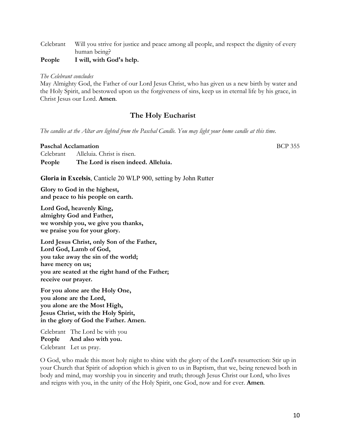Celebrant Will you strive for justice and peace among all people, and respect the dignity of every human being?

**People I will, with God's help.**

#### *The Celebrant concludes*

May Almighty God, the Father of our Lord Jesus Christ, who has given us a new birth by water and the Holy Spirit, and bestowed upon us the forgiveness of sins, keep us in eternal life by his grace, in Christ Jesus our Lord. **Amen***.*

# **The Holy Eucharist**

*The candles at the Altar are lighted from the Paschal Candle. You may light your home candle at this time.*

### **Paschal Acclamation** *BCP* **355**

Celebrant Alleluia. Christ is risen. **People The Lord is risen indeed. Alleluia.**

**Gloria in Excelsis**, Canticle 20 WLP 900, setting by John Rutter

**Glory to God in the highest, and peace to his people on earth.**

**Lord God, heavenly King, almighty God and Father, we worship you, we give you thanks, we praise you for your glory.**

**Lord Jesus Christ, only Son of the Father, Lord God, Lamb of God, you take away the sin of the world; have mercy on us; you are seated at the right hand of the Father; receive our prayer.**

**For you alone are the Holy One, you alone are the Lord, you alone are the Most High, Jesus Christ, with the Holy Spirit, in the glory of God the Father. Amen.**

Celebrant The Lord be with you **People And also with you.** Celebrant Let us pray.

O God, who made this most holy night to shine with the glory of the Lord's resurrection: Stir up in your Church that Spirit of adoption which is given to us in Baptism, that we, being renewed both in body and mind, may worship you in sincerity and truth; through Jesus Christ our Lord, who lives and reigns with you, in the unity of the Holy Spirit, one God, now and for ever. **Amen***.*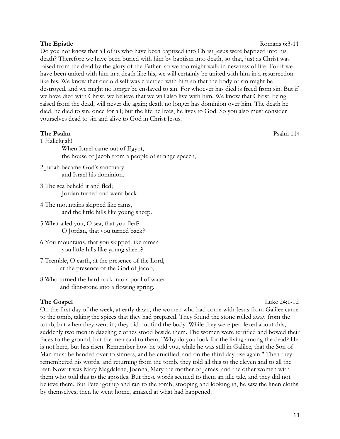Do you not know that all of us who have been baptized into Christ Jesus were baptized into his death? Therefore we have been buried with him by baptism into death, so that, just as Christ was raised from the dead by the glory of the Father, so we too might walk in newness of life. For if we have been united with him in a death like his, we will certainly be united with him in a resurrection like his. We know that our old self was crucified with him so that the body of sin might be destroyed, and we might no longer be enslaved to sin. For whoever has died is freed from sin. But if we have died with Christ, we believe that we will also live with him. We know that Christ, being raised from the dead, will never die again; death no longer has dominion over him. The death he died, he died to sin, once for all; but the life he lives, he lives to God. So you also must consider yourselves dead to sin and alive to God in Christ Jesus.

#### **The Psalm** Psalm 114

1 Hallelujah!

When Israel came out of Egypt, the house of Jacob from a people of strange speech,

- 2 Judah became God's sanctuary and Israel his dominion.
- 3 The sea beheld it and fled; Jordan turned and went back.
- 4 The mountains skipped like rams, and the little hills like young sheep.
- 5 What ailed you, O sea, that you fled? O Jordan, that you turned back?
- 6 You mountains, that you skipped like rams? you little hills like young sheep?
- 7 Tremble, O earth, at the presence of the Lord, at the presence of the God of Jacob,
- 8 Who turned the hard rock into a pool of water and flint-stone into a flowing spring.

On the first day of the week, at early dawn, the women who had come with Jesus from Galilee came to the tomb, taking the spices that they had prepared. They found the stone rolled away from the tomb, but when they went in, they did not find the body. While they were perplexed about this, suddenly two men in dazzling clothes stood beside them. The women were terrified and bowed their faces to the ground, but the men said to them, "Why do you look for the living among the dead? He is not here, but has risen. Remember how he told you, while he was still in Galilee, that the Son of Man must be handed over to sinners, and be crucified, and on the third day rise again." Then they remembered his words, and returning from the tomb, they told all this to the eleven and to all the rest. Now it was Mary Magdalene, Joanna, Mary the mother of James, and the other women with them who told this to the apostles. But these words seemed to them an idle tale, and they did not believe them. But Peter got up and ran to the tomb; stooping and looking in, he saw the linen cloths by themselves; then he went home, amazed at what had happened.

**The Epistle** Romans 6:3-11

**The Gospel** Luke 24:1-12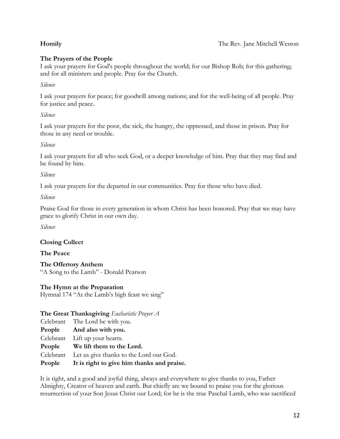# **The Prayers of the People**

I ask your prayers for God's people throughout the world; for our Bishop Rob; for this gathering; and for all ministers and people. Pray for the Church.

# *Silence*

I ask your prayers for peace; for goodwill among nations; and for the well-being of all people. Pray for justice and peace.

# *Silence*

I ask your prayers for the poor, the sick, the hungry, the oppressed, and those in prison. Pray for those in any need or trouble.

# *Silence*

I ask your prayers for all who seek God, or a deeper knowledge of him. Pray that they may find and be found by him.

### *Silence*

I ask your prayers for the departed in our communities. Pray for those who have died.

*Silence*

Praise God for those in every generation in whom Christ has been honored. Pray that we may have grace to glorify Christ in our own day.

*Silence*

# **Closing Collect**

**The Peace**

**The Offertory Anthem** "A Song to the Lamb" - Donald Pearson

# **The Hymn at the Preparation**

Hymnal 174 "At the Lamb's high feast we sing"

#### **The Great Thanksgiving** *Eucharistic Prayer A*

| Celebrant The Lord be with you.                      |
|------------------------------------------------------|
| People<br>And also with you.                         |
| Lift up your hearts.                                 |
| People We lift them to the Lord.                     |
| Let us give thanks to the Lord our God.              |
| It is right to give him thanks and praise.<br>People |
|                                                      |

It is right, and a good and joyful thing, always and everywhere to give thanks to you, Father Almighty, Creator of heaven and earth. But chiefly are we bound to praise you for the glorious resurrection of your Son Jesus Christ our Lord; for he is the true Paschal Lamb, who was sacrificed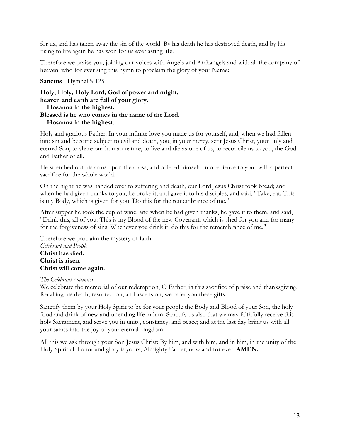for us, and has taken away the sin of the world. By his death he has destroyed death, and by his rising to life again he has won for us everlasting life.

Therefore we praise you, joining our voices with Angels and Archangels and with all the company of heaven, who for ever sing this hymn to proclaim the glory of your Name:

**Sanctus** - Hymnal S-125

**Holy, Holy, Holy Lord, God of power and might, heaven and earth are full of your glory. Hosanna in the highest. Blessed is he who comes in the name of the Lord. Hosanna in the highest.**

Holy and gracious Father: In your infinite love you made us for yourself, and, when we had fallen into sin and become subject to evil and death, you, in your mercy, sent Jesus Christ, your only and eternal Son, to share our human nature, to live and die as one of us, to reconcile us to you, the God and Father of all.

He stretched out his arms upon the cross, and offered himself, in obedience to your will, a perfect sacrifice for the whole world.

On the night he was handed over to suffering and death, our Lord Jesus Christ took bread; and when he had given thanks to you, he broke it, and gave it to his disciples, and said, "Take, eat: This is my Body, which is given for you. Do this for the remembrance of me."

After supper he took the cup of wine; and when he had given thanks, he gave it to them, and said, "Drink this, all of you: This is my Blood of the new Covenant, which is shed for you and for many for the forgiveness of sins. Whenever you drink it, do this for the remembrance of me."

Therefore we proclaim the mystery of faith: *Celebrant and People* **Christ has died. Christ is risen. Christ will come again.**

#### *The Celebrant continues*

We celebrate the memorial of our redemption, O Father, in this sacrifice of praise and thanksgiving. Recalling his death, resurrection, and ascension, we offer you these gifts.

Sanctify them by your Holy Spirit to be for your people the Body and Blood of your Son, the holy food and drink of new and unending life in him. Sanctify us also that we may faithfully receive this holy Sacrament, and serve you in unity, constancy, and peace; and at the last day bring us with all your saints into the joy of your eternal kingdom.

All this we ask through your Son Jesus Christ: By him, and with him, and in him, in the unity of the Holy Spirit all honor and glory is yours, Almighty Father, now and for ever. **AMEN***.*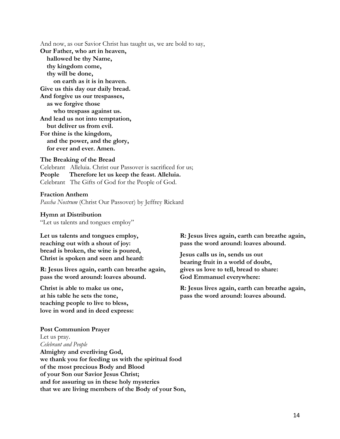And now, as our Savior Christ has taught us, we are bold to say, **Our Father, who art in heaven, hallowed be thy Name, thy kingdom come, thy will be done, on earth as it is in heaven. Give us this day our daily bread. And forgive us our trespasses, as we forgive those who trespass against us. And lead us not into temptation, but deliver us from evil. For thine is the kingdom, and the power, and the glory, for ever and ever. Amen.**

**The Breaking of the Bread** Celebrant Alleluia. Christ our Passover is sacrificed for us; **People Therefore let us keep the feast. Alleluia.** Celebrant The Gifts of God for the People of God.

**Fraction Anthem**  *Pascha Nostrum* (Christ Our Passover) by Jeffrey Rickard

**Hymn at Distribution**

"Let us talents and tongues employ"

**Let us talents and tongues employ, reaching out with a shout of joy: bread is broken, the wine is poured, Christ is spoken and seen and heard:**

**R: Jesus lives again, earth can breathe again, pass the word around: loaves abound.**

**Christ is able to make us one, at his table he sets the tone, teaching people to live to bless, love in word and in deed express:**

**Post Communion Prayer** Let us pray. *Celebrant and People*  **Almighty and everliving God, we thank you for feeding us with the spiritual food of the most precious Body and Blood of your Son our Savior Jesus Christ; and for assuring us in these holy mysteries that we are living members of the Body of your Son,**

**R: Jesus lives again, earth can breathe again, pass the word around: loaves abound.**

**Jesus calls us in, sends us out bearing fruit in a world of doubt, gives us love to tell, bread to share: God Emmanuel everywhere:**

**R: Jesus lives again, earth can breathe again, pass the word around: loaves abound.**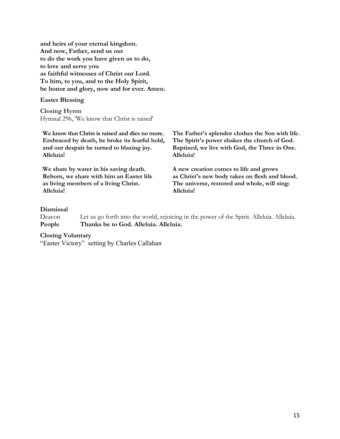**and heirs of your eternal kingdom. And now, Father, send us out to do the work you have given us to do, to love and serve you as faithful witnesses of Christ our Lord. To him, to you, and to the Holy Spirit, be honor and glory, now and for ever. Amen.**

#### **Easter Blessing**

**Closing Hymn** Hymnal 296, 'We know that Christ is raised'

| We know that Christ is raised and dies no more. | The Father's splendor clothes the Son with life. |
|-------------------------------------------------|--------------------------------------------------|
| Embraced by death, he broke its fearful hold,   | The Spirit's power shakes the church of God.     |
| and our despair he turned to blazing joy.       | Baptized, we live with God, the Three in One.    |
| Alleluia!                                       | Alleluia!                                        |
| We share by water in his sering death           | A now quation games to life and grows            |

**We share by water in his saving death. Reborn, we share with him an Easter life as living members of a living Christ. Alleluia!**

**A new creation comes to life and grows as Christ's new body takes on flesh and blood. The universe, restored and whole, will sing: Alleluia!**

#### **Dismissal**

Deacon Let us go forth into the world, rejoicing in the power of the Spirit. Alleluia. Alleluia. **People Thanks be to God. Alleluia. Alleluia.**

#### **Closing Voluntary**

"Easter Victory" setting by Charles Callahan